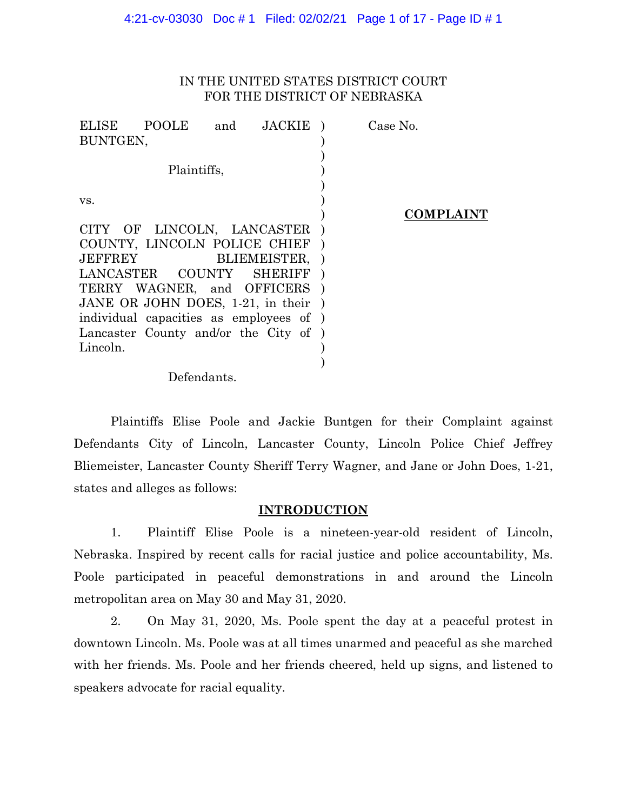# IN THE UNITED STATES DISTRICT COURT FOR THE DISTRICT OF NEBRASKA

| ELISE          | <b>POOLE</b>                            | and | <b>JACKIE</b>  |  | Case No. |                  |
|----------------|-----------------------------------------|-----|----------------|--|----------|------------------|
| BUNTGEN,       |                                         |     |                |  |          |                  |
|                |                                         |     |                |  |          |                  |
| Plaintiffs,    |                                         |     |                |  |          |                  |
|                |                                         |     |                |  |          |                  |
| VS.            |                                         |     |                |  |          |                  |
|                |                                         |     |                |  |          | <b>COMPLAINT</b> |
|                | CITY OF LINCOLN, LANCASTER              |     |                |  |          |                  |
|                | COUNTY, LINCOLN POLICE CHIEF            |     |                |  |          |                  |
| <b>JEFFREY</b> |                                         |     | BLIEMEISTER,   |  |          |                  |
|                | LANCASTER COUNTY                        |     | <b>SHERIFF</b> |  |          |                  |
|                | TERRY WAGNER, and OFFICERS              |     |                |  |          |                  |
|                | JANE OR JOHN DOES, 1-21, in their       |     |                |  |          |                  |
|                | individual capacities as employees of ) |     |                |  |          |                  |
|                | Lancaster County and/or the City of )   |     |                |  |          |                  |
| Lincoln.       |                                         |     |                |  |          |                  |
|                |                                         |     |                |  |          |                  |
|                |                                         |     |                |  |          |                  |

Defendants.

Plaintiffs Elise Poole and Jackie Buntgen for their Complaint against Defendants City of Lincoln, Lancaster County, Lincoln Police Chief Jeffrey Bliemeister, Lancaster County Sheriff Terry Wagner, and Jane or John Does, 1-21, states and alleges as follows:

# **INTRODUCTION**

1. Plaintiff Elise Poole is a nineteen-year-old resident of Lincoln, Nebraska. Inspired by recent calls for racial justice and police accountability, Ms. Poole participated in peaceful demonstrations in and around the Lincoln metropolitan area on May 30 and May 31, 2020.

2. On May 31, 2020, Ms. Poole spent the day at a peaceful protest in downtown Lincoln. Ms. Poole was at all times unarmed and peaceful as she marched with her friends. Ms. Poole and her friends cheered, held up signs, and listened to speakers advocate for racial equality.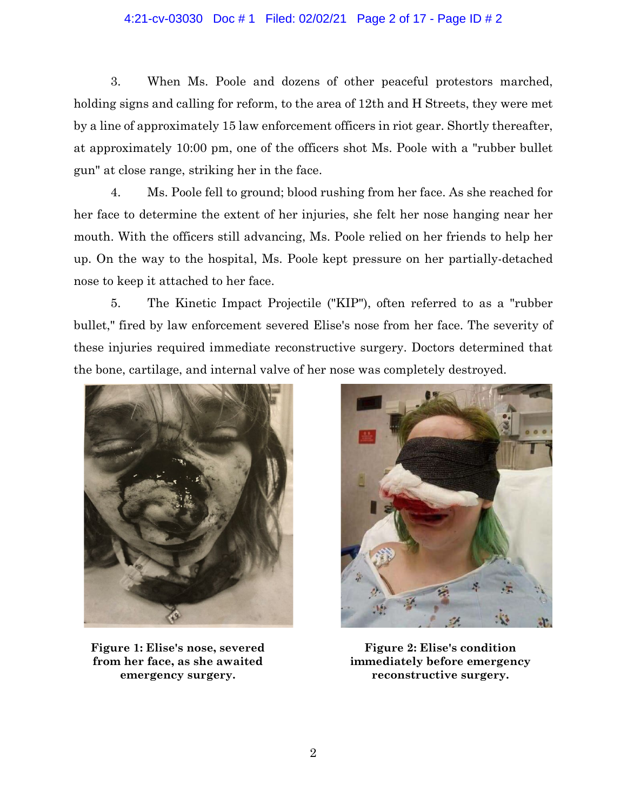# 4:21-cv-03030 Doc # 1 Filed: 02/02/21 Page 2 of 17 - Page ID # 2

3. When Ms. Poole and dozens of other peaceful protestors marched, holding signs and calling for reform, to the area of 12th and H Streets, they were met by a line of approximately 15 law enforcement officers in riot gear. Shortly thereafter, at approximately 10:00 pm, one of the officers shot Ms. Poole with a "rubber bullet gun" at close range, striking her in the face.

4. Ms. Poole fell to ground; blood rushing from her face. As she reached for her face to determine the extent of her injuries, she felt her nose hanging near her mouth. With the officers still advancing, Ms. Poole relied on her friends to help her up. On the way to the hospital, Ms. Poole kept pressure on her partially-detached nose to keep it attached to her face.

5. The Kinetic Impact Projectile ("KIP"), often referred to as a "rubber bullet," fired by law enforcement severed Elise's nose from her face. The severity of these injuries required immediate reconstructive surgery. Doctors determined that the bone, cartilage, and internal valve of her nose was completely destroyed.



**Figure 1: Elise's nose, severed from her face, as she awaited emergency surgery.**



**Figure 2: Elise's condition immediately before emergency reconstructive surgery.**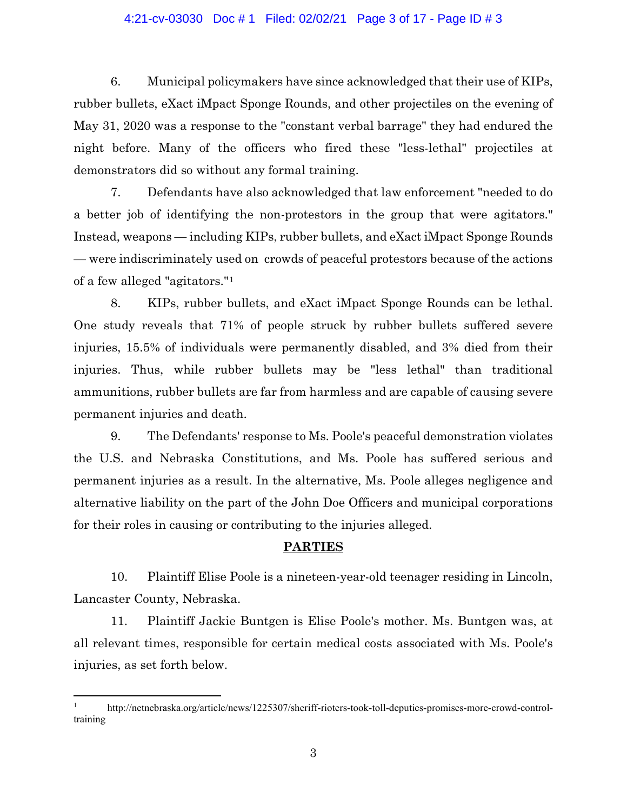### 4:21-cv-03030 Doc # 1 Filed: 02/02/21 Page 3 of 17 - Page ID # 3

6. Municipal policymakers have since acknowledged that their use of KIPs, rubber bullets, eXact iMpact Sponge Rounds, and other projectiles on the evening of May 31, 2020 was a response to the "constant verbal barrage" they had endured the night before. Many of the officers who fired these "less-lethal" projectiles at demonstrators did so without any formal training.

7. Defendants have also acknowledged that law enforcement "needed to do a better job of identifying the non-protestors in the group that were agitators." Instead, weapons — including KIPs, rubber bullets, and eXact iMpact Sponge Rounds — were indiscriminately used on crowds of peaceful protestors because of the actions of a few alleged "agitators."[1](#page-2-0)

8. KIPs, rubber bullets, and eXact iMpact Sponge Rounds can be lethal. One study reveals that 71% of people struck by rubber bullets suffered severe injuries, 15.5% of individuals were permanently disabled, and 3% died from their injuries. Thus, while rubber bullets may be "less lethal" than traditional ammunitions, rubber bullets are far from harmless and are capable of causing severe permanent injuries and death.

9. The Defendants' response to Ms. Poole's peaceful demonstration violates the U.S. and Nebraska Constitutions, and Ms. Poole has suffered serious and permanent injuries as a result. In the alternative, Ms. Poole alleges negligence and alternative liability on the part of the John Doe Officers and municipal corporations for their roles in causing or contributing to the injuries alleged.

### **PARTIES**

10. Plaintiff Elise Poole is a nineteen-year-old teenager residing in Lincoln, Lancaster County, Nebraska.

11. Plaintiff Jackie Buntgen is Elise Poole's mother. Ms. Buntgen was, at all relevant times, responsible for certain medical costs associated with Ms. Poole's injuries, as set forth below.

<span id="page-2-0"></span><sup>&</sup>lt;sup>1</sup> http://netnebraska.org/article/news/1225307/sheriff-rioters-took-toll-deputies-promises-more-crowd-controltraining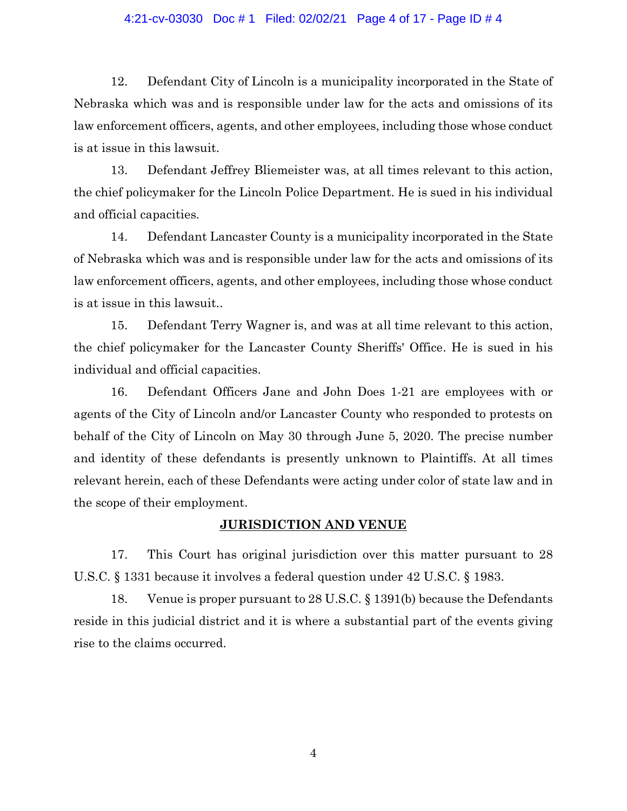### 4:21-cv-03030 Doc # 1 Filed: 02/02/21 Page 4 of 17 - Page ID # 4

12. Defendant City of Lincoln is a municipality incorporated in the State of Nebraska which was and is responsible under law for the acts and omissions of its law enforcement officers, agents, and other employees, including those whose conduct is at issue in this lawsuit.

13. Defendant Jeffrey Bliemeister was, at all times relevant to this action, the chief policymaker for the Lincoln Police Department. He is sued in his individual and official capacities.

14. Defendant Lancaster County is a municipality incorporated in the State of Nebraska which was and is responsible under law for the acts and omissions of its law enforcement officers, agents, and other employees, including those whose conduct is at issue in this lawsuit..

15. Defendant Terry Wagner is, and was at all time relevant to this action, the chief policymaker for the Lancaster County Sheriffs' Office. He is sued in his individual and official capacities.

16. Defendant Officers Jane and John Does 1-21 are employees with or agents of the City of Lincoln and/or Lancaster County who responded to protests on behalf of the City of Lincoln on May 30 through June 5, 2020. The precise number and identity of these defendants is presently unknown to Plaintiffs. At all times relevant herein, each of these Defendants were acting under color of state law and in the scope of their employment.

# **JURISDICTION AND VENUE**

17. This Court has original jurisdiction over this matter pursuant to 28 U.S.C. § 1331 because it involves a federal question under 42 U.S.C. § 1983.

18. Venue is proper pursuant to 28 U.S.C. § 1391(b) because the Defendants reside in this judicial district and it is where a substantial part of the events giving rise to the claims occurred.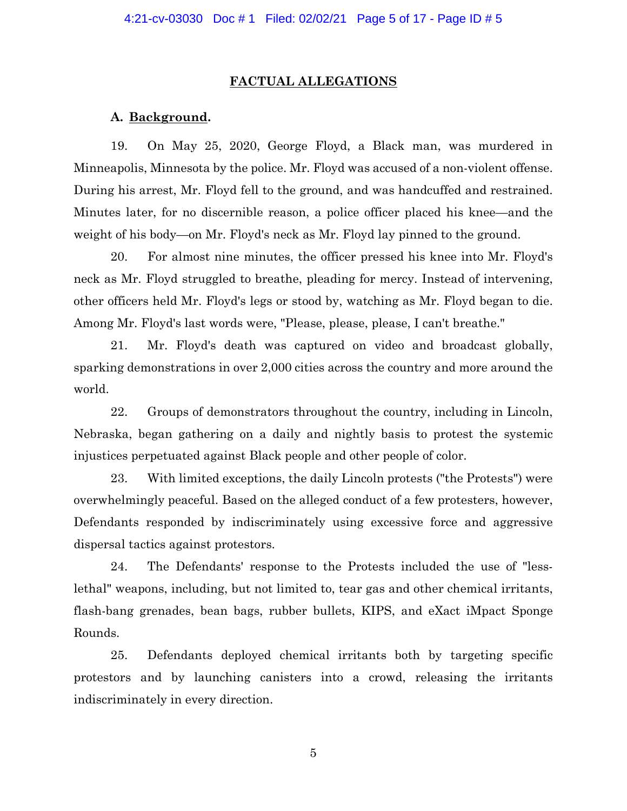#### **FACTUAL ALLEGATIONS**

### **A. Background.**

19. On May 25, 2020, George Floyd, a Black man, was murdered in Minneapolis, Minnesota by the police. Mr. Floyd was accused of a non-violent offense. During his arrest, Mr. Floyd fell to the ground, and was handcuffed and restrained. Minutes later, for no discernible reason, a police officer placed his knee—and the weight of his body—on Mr. Floyd's neck as Mr. Floyd lay pinned to the ground.

20. For almost nine minutes, the officer pressed his knee into Mr. Floyd's neck as Mr. Floyd struggled to breathe, pleading for mercy. Instead of intervening, other officers held Mr. Floyd's legs or stood by, watching as Mr. Floyd began to die. Among Mr. Floyd's last words were, "Please, please, please, I can't breathe."

21. Mr. Floyd's death was captured on video and broadcast globally, sparking demonstrations in over 2,000 cities across the country and more around the world.

22. Groups of demonstrators throughout the country, including in Lincoln, Nebraska, began gathering on a daily and nightly basis to protest the systemic injustices perpetuated against Black people and other people of color.

23. With limited exceptions, the daily Lincoln protests ("the Protests") were overwhelmingly peaceful. Based on the alleged conduct of a few protesters, however, Defendants responded by indiscriminately using excessive force and aggressive dispersal tactics against protestors.

24. The Defendants' response to the Protests included the use of "lesslethal" weapons, including, but not limited to, tear gas and other chemical irritants, flash-bang grenades, bean bags, rubber bullets, KIPS, and eXact iMpact Sponge Rounds.

25. Defendants deployed chemical irritants both by targeting specific protestors and by launching canisters into a crowd, releasing the irritants indiscriminately in every direction.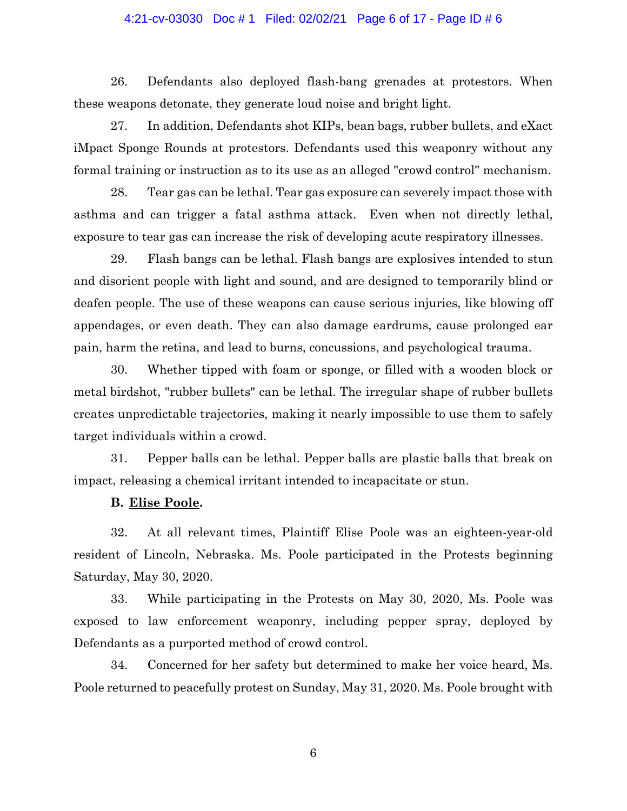### 4:21-cv-03030 Doc # 1 Filed: 02/02/21 Page 6 of 17 - Page ID # 6

26. Defendants also deployed flash-bang grenades at protestors. When these weapons detonate, they generate loud noise and bright light.

27. In addition, Defendants shot KIPs, bean bags, rubber bullets, and eXact iMpact Sponge Rounds at protestors. Defendants used this weaponry without any formal training or instruction as to its use as an alleged "crowd control" mechanism.

28. Tear gas can be lethal. Tear gas exposure can severely impact those with asthma and can trigger a fatal asthma attack. Even when not directly lethal, exposure to tear gas can increase the risk of developing acute respiratory illnesses.

29. Flash bangs can be lethal. Flash bangs are explosives intended to stun and disorient people with light and sound, and are designed to temporarily blind or deafen people. The use of these weapons can cause serious injuries, like blowing off appendages, or even death. They can also damage eardrums, cause prolonged ear pain, harm the retina, and lead to burns, concussions, and psychological trauma.

30. Whether tipped with foam or sponge, or filled with a wooden block or metal birdshot, "rubber bullets" can be lethal. The irregular shape of rubber bullets creates unpredictable trajectories, making it nearly impossible to use them to safely target individuals within a crowd.

31. Pepper balls can be lethal. Pepper balls are plastic balls that break on impact, releasing a chemical irritant intended to incapacitate or stun.

### **B. Elise Poole.**

32. At all relevant times, Plaintiff Elise Poole was an eighteen-year-old resident of Lincoln, Nebraska. Ms. Poole participated in the Protests beginning Saturday, May 30, 2020.

33. While participating in the Protests on May 30, 2020, Ms. Poole was exposed to law enforcement weaponry, including pepper spray, deployed by Defendants as a purported method of crowd control.

34. Concerned for her safety but determined to make her voice heard, Ms. Poole returned to peacefully protest on Sunday, May 31, 2020. Ms. Poole brought with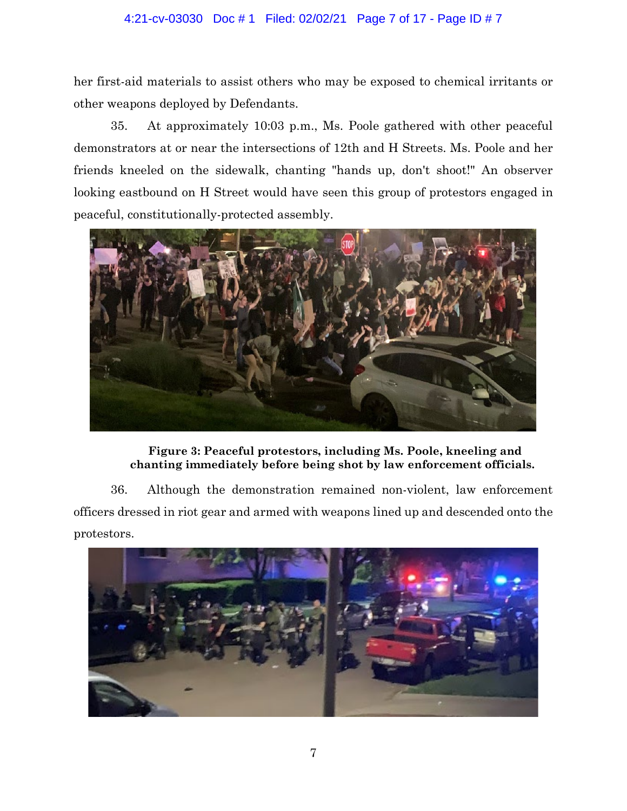# 4:21-cv-03030 Doc # 1 Filed: 02/02/21 Page 7 of 17 - Page ID # 7

her first-aid materials to assist others who may be exposed to chemical irritants or other weapons deployed by Defendants.

35. At approximately 10:03 p.m., Ms. Poole gathered with other peaceful demonstrators at or near the intersections of 12th and H Streets. Ms. Poole and her friends kneeled on the sidewalk, chanting "hands up, don't shoot!" An observer looking eastbound on H Street would have seen this group of protestors engaged in peaceful, constitutionally-protected assembly.



# **Figure 3: Peaceful protestors, including Ms. Poole, kneeling and chanting immediately before being shot by law enforcement officials.**

36. Although the demonstration remained non-violent, law enforcement officers dressed in riot gear and armed with weapons lined up and descended onto the protestors.

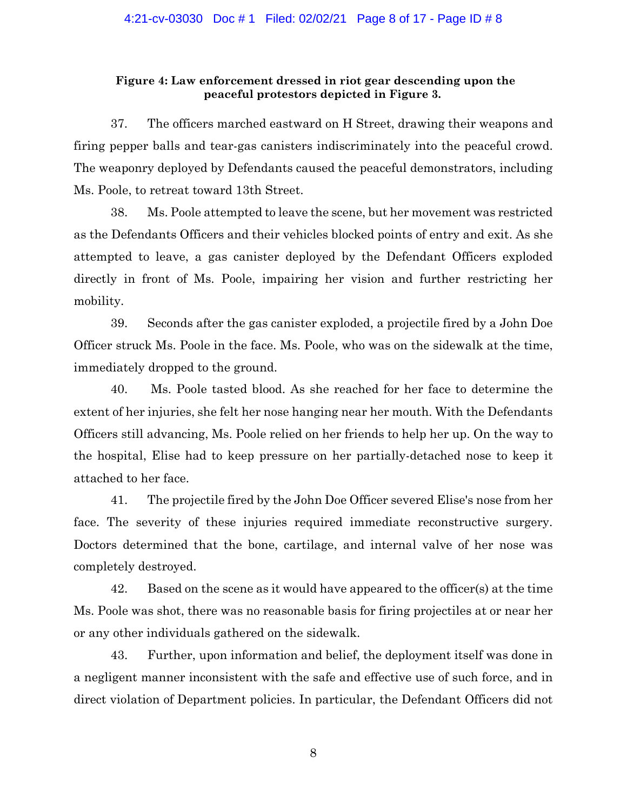# **Figure 4: Law enforcement dressed in riot gear descending upon the peaceful protestors depicted in Figure 3.**

37. The officers marched eastward on H Street, drawing their weapons and firing pepper balls and tear-gas canisters indiscriminately into the peaceful crowd. The weaponry deployed by Defendants caused the peaceful demonstrators, including Ms. Poole, to retreat toward 13th Street.

38. Ms. Poole attempted to leave the scene, but her movement was restricted as the Defendants Officers and their vehicles blocked points of entry and exit. As she attempted to leave, a gas canister deployed by the Defendant Officers exploded directly in front of Ms. Poole, impairing her vision and further restricting her mobility.

39. Seconds after the gas canister exploded, a projectile fired by a John Doe Officer struck Ms. Poole in the face. Ms. Poole, who was on the sidewalk at the time, immediately dropped to the ground.

40. Ms. Poole tasted blood. As she reached for her face to determine the extent of her injuries, she felt her nose hanging near her mouth. With the Defendants Officers still advancing, Ms. Poole relied on her friends to help her up. On the way to the hospital, Elise had to keep pressure on her partially-detached nose to keep it attached to her face.

41. The projectile fired by the John Doe Officer severed Elise's nose from her face. The severity of these injuries required immediate reconstructive surgery. Doctors determined that the bone, cartilage, and internal valve of her nose was completely destroyed.

42. Based on the scene as it would have appeared to the officer(s) at the time Ms. Poole was shot, there was no reasonable basis for firing projectiles at or near her or any other individuals gathered on the sidewalk.

43. Further, upon information and belief, the deployment itself was done in a negligent manner inconsistent with the safe and effective use of such force, and in direct violation of Department policies. In particular, the Defendant Officers did not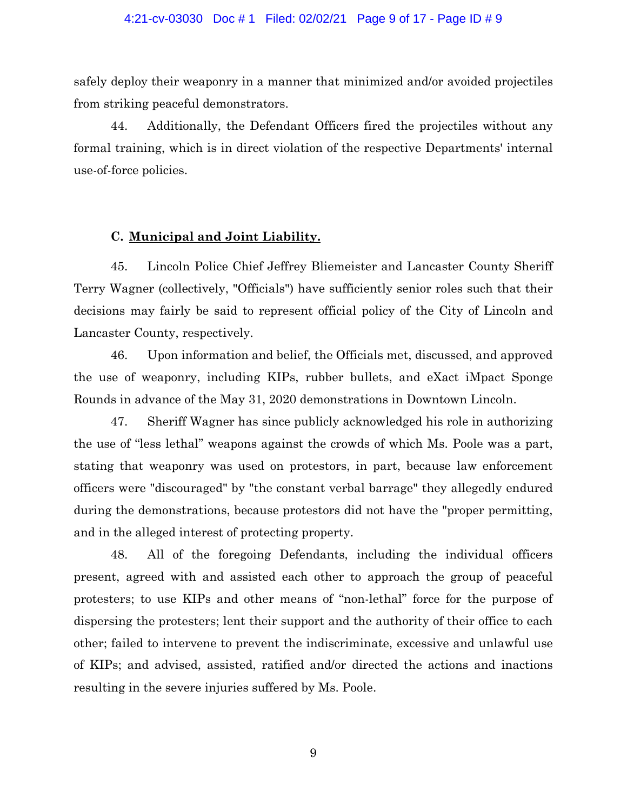#### 4:21-cv-03030 Doc # 1 Filed: 02/02/21 Page 9 of 17 - Page ID # 9

safely deploy their weaponry in a manner that minimized and/or avoided projectiles from striking peaceful demonstrators.

44. Additionally, the Defendant Officers fired the projectiles without any formal training, which is in direct violation of the respective Departments' internal use-of-force policies.

### **C. Municipal and Joint Liability.**

45. Lincoln Police Chief Jeffrey Bliemeister and Lancaster County Sheriff Terry Wagner (collectively, "Officials") have sufficiently senior roles such that their decisions may fairly be said to represent official policy of the City of Lincoln and Lancaster County, respectively.

46. Upon information and belief, the Officials met, discussed, and approved the use of weaponry, including KIPs, rubber bullets, and eXact iMpact Sponge Rounds in advance of the May 31, 2020 demonstrations in Downtown Lincoln.

47. Sheriff Wagner has since publicly acknowledged his role in authorizing the use of "less lethal" weapons against the crowds of which Ms. Poole was a part, stating that weaponry was used on protestors, in part, because law enforcement officers were "discouraged" by "the constant verbal barrage" they allegedly endured during the demonstrations, because protestors did not have the "proper permitting, and in the alleged interest of protecting property.

48. All of the foregoing Defendants, including the individual officers present, agreed with and assisted each other to approach the group of peaceful protesters; to use KIPs and other means of "non-lethal" force for the purpose of dispersing the protesters; lent their support and the authority of their office to each other; failed to intervene to prevent the indiscriminate, excessive and unlawful use of KIPs; and advised, assisted, ratified and/or directed the actions and inactions resulting in the severe injuries suffered by Ms. Poole.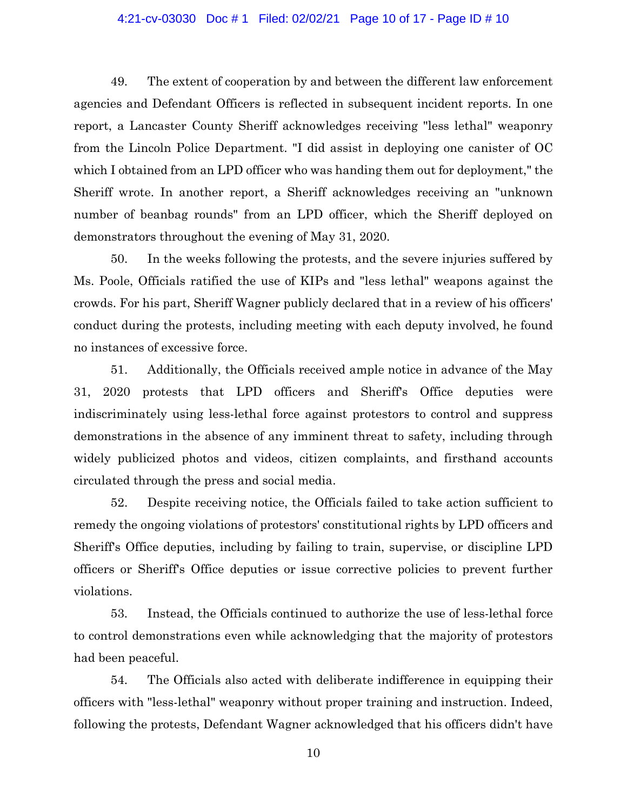#### 4:21-cv-03030 Doc # 1 Filed: 02/02/21 Page 10 of 17 - Page ID # 10

49. The extent of cooperation by and between the different law enforcement agencies and Defendant Officers is reflected in subsequent incident reports. In one report, a Lancaster County Sheriff acknowledges receiving "less lethal" weaponry from the Lincoln Police Department. "I did assist in deploying one canister of OC which I obtained from an LPD officer who was handing them out for deployment," the Sheriff wrote. In another report, a Sheriff acknowledges receiving an "unknown number of beanbag rounds" from an LPD officer, which the Sheriff deployed on demonstrators throughout the evening of May 31, 2020.

50. In the weeks following the protests, and the severe injuries suffered by Ms. Poole, Officials ratified the use of KIPs and "less lethal" weapons against the crowds. For his part, Sheriff Wagner publicly declared that in a review of his officers' conduct during the protests, including meeting with each deputy involved, he found no instances of excessive force.

51. Additionally, the Officials received ample notice in advance of the May 31, 2020 protests that LPD officers and Sheriff's Office deputies were indiscriminately using less-lethal force against protestors to control and suppress demonstrations in the absence of any imminent threat to safety, including through widely publicized photos and videos, citizen complaints, and firsthand accounts circulated through the press and social media.

52. Despite receiving notice, the Officials failed to take action sufficient to remedy the ongoing violations of protestors' constitutional rights by LPD officers and Sheriff's Office deputies, including by failing to train, supervise, or discipline LPD officers or Sheriff's Office deputies or issue corrective policies to prevent further violations.

53. Instead, the Officials continued to authorize the use of less-lethal force to control demonstrations even while acknowledging that the majority of protestors had been peaceful.

54. The Officials also acted with deliberate indifference in equipping their officers with "less-lethal" weaponry without proper training and instruction. Indeed, following the protests, Defendant Wagner acknowledged that his officers didn't have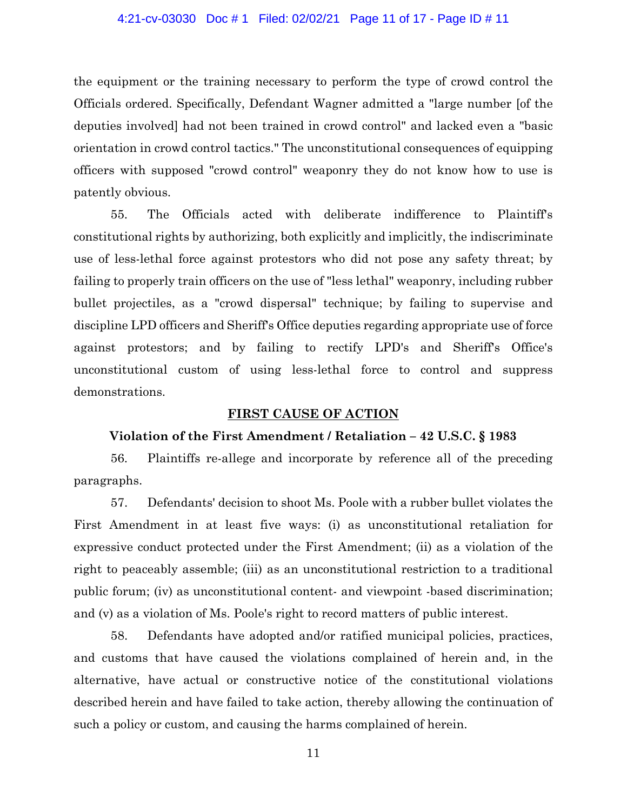### 4:21-cv-03030 Doc # 1 Filed: 02/02/21 Page 11 of 17 - Page ID # 11

the equipment or the training necessary to perform the type of crowd control the Officials ordered. Specifically, Defendant Wagner admitted a "large number [of the deputies involved] had not been trained in crowd control" and lacked even a "basic orientation in crowd control tactics." The unconstitutional consequences of equipping officers with supposed "crowd control" weaponry they do not know how to use is patently obvious.

55. The Officials acted with deliberate indifference to Plaintiff's constitutional rights by authorizing, both explicitly and implicitly, the indiscriminate use of less-lethal force against protestors who did not pose any safety threat; by failing to properly train officers on the use of "less lethal" weaponry, including rubber bullet projectiles, as a "crowd dispersal" technique; by failing to supervise and discipline LPD officers and Sheriff's Office deputies regarding appropriate use of force against protestors; and by failing to rectify LPD's and Sheriff's Office's unconstitutional custom of using less-lethal force to control and suppress demonstrations.

### **FIRST CAUSE OF ACTION**

# **Violation of the First Amendment / Retaliation – 42 U.S.C. § 1983**

56. Plaintiffs re-allege and incorporate by reference all of the preceding paragraphs.

57. Defendants' decision to shoot Ms. Poole with a rubber bullet violates the First Amendment in at least five ways: (i) as unconstitutional retaliation for expressive conduct protected under the First Amendment; (ii) as a violation of the right to peaceably assemble; (iii) as an unconstitutional restriction to a traditional public forum; (iv) as unconstitutional content- and viewpoint -based discrimination; and (v) as a violation of Ms. Poole's right to record matters of public interest.

58. Defendants have adopted and/or ratified municipal policies, practices, and customs that have caused the violations complained of herein and, in the alternative, have actual or constructive notice of the constitutional violations described herein and have failed to take action, thereby allowing the continuation of such a policy or custom, and causing the harms complained of herein.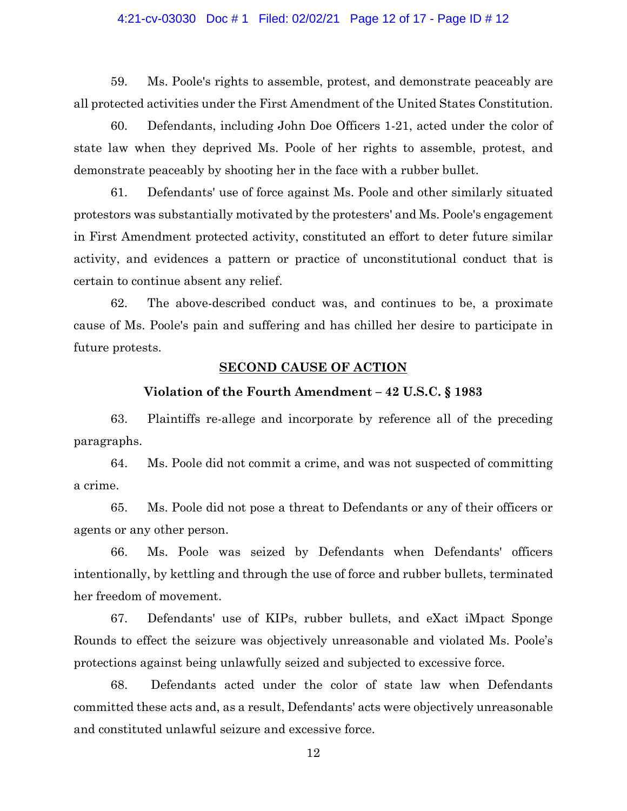### 4:21-cv-03030 Doc # 1 Filed: 02/02/21 Page 12 of 17 - Page ID # 12

59. Ms. Poole's rights to assemble, protest, and demonstrate peaceably are all protected activities under the First Amendment of the United States Constitution.

60. Defendants, including John Doe Officers 1-21, acted under the color of state law when they deprived Ms. Poole of her rights to assemble, protest, and demonstrate peaceably by shooting her in the face with a rubber bullet.

61. Defendants' use of force against Ms. Poole and other similarly situated protestors was substantially motivated by the protesters' and Ms. Poole's engagement in First Amendment protected activity, constituted an effort to deter future similar activity, and evidences a pattern or practice of unconstitutional conduct that is certain to continue absent any relief.

62. The above-described conduct was, and continues to be, a proximate cause of Ms. Poole's pain and suffering and has chilled her desire to participate in future protests.

# **SECOND CAUSE OF ACTION**

### **Violation of the Fourth Amendment – 42 U.S.C. § 1983**

63. Plaintiffs re-allege and incorporate by reference all of the preceding paragraphs.

64. Ms. Poole did not commit a crime, and was not suspected of committing a crime.

65. Ms. Poole did not pose a threat to Defendants or any of their officers or agents or any other person.

66. Ms. Poole was seized by Defendants when Defendants' officers intentionally, by kettling and through the use of force and rubber bullets, terminated her freedom of movement.

67. Defendants' use of KIPs, rubber bullets, and eXact iMpact Sponge Rounds to effect the seizure was objectively unreasonable and violated Ms. Poole's protections against being unlawfully seized and subjected to excessive force.

68. Defendants acted under the color of state law when Defendants committed these acts and, as a result, Defendants' acts were objectively unreasonable and constituted unlawful seizure and excessive force.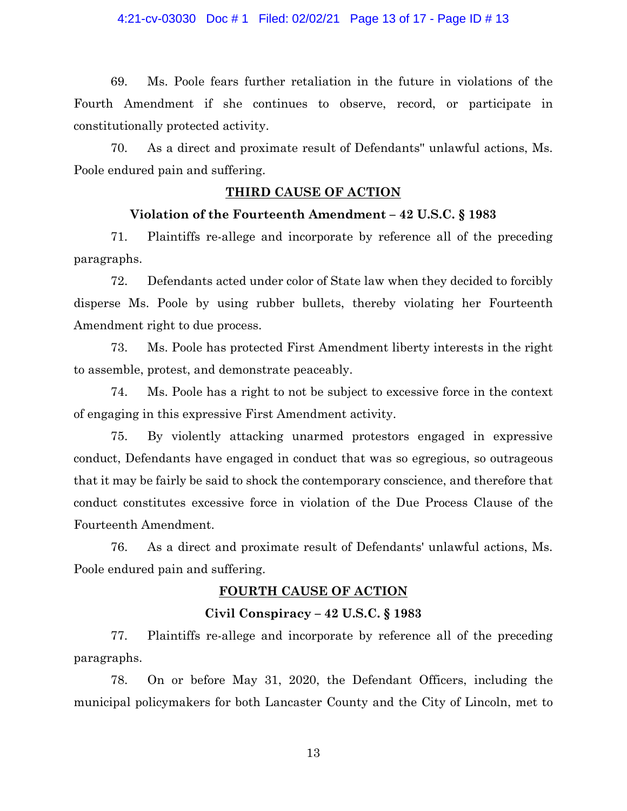## 4:21-cv-03030 Doc # 1 Filed: 02/02/21 Page 13 of 17 - Page ID # 13

69. Ms. Poole fears further retaliation in the future in violations of the Fourth Amendment if she continues to observe, record, or participate in constitutionally protected activity.

70. As a direct and proximate result of Defendants'' unlawful actions, Ms. Poole endured pain and suffering.

# **THIRD CAUSE OF ACTION**

## **Violation of the Fourteenth Amendment – 42 U.S.C. § 1983**

71. Plaintiffs re-allege and incorporate by reference all of the preceding paragraphs.

72. Defendants acted under color of State law when they decided to forcibly disperse Ms. Poole by using rubber bullets, thereby violating her Fourteenth Amendment right to due process.

73. Ms. Poole has protected First Amendment liberty interests in the right to assemble, protest, and demonstrate peaceably.

74. Ms. Poole has a right to not be subject to excessive force in the context of engaging in this expressive First Amendment activity.

75. By violently attacking unarmed protestors engaged in expressive conduct, Defendants have engaged in conduct that was so egregious, so outrageous that it may be fairly be said to shock the contemporary conscience, and therefore that conduct constitutes excessive force in violation of the Due Process Clause of the Fourteenth Amendment.

76. As a direct and proximate result of Defendants' unlawful actions, Ms. Poole endured pain and suffering.

# **FOURTH CAUSE OF ACTION**

# **Civil Conspiracy – 42 U.S.C. § 1983**

77. Plaintiffs re-allege and incorporate by reference all of the preceding paragraphs.

78. On or before May 31, 2020, the Defendant Officers, including the municipal policymakers for both Lancaster County and the City of Lincoln, met to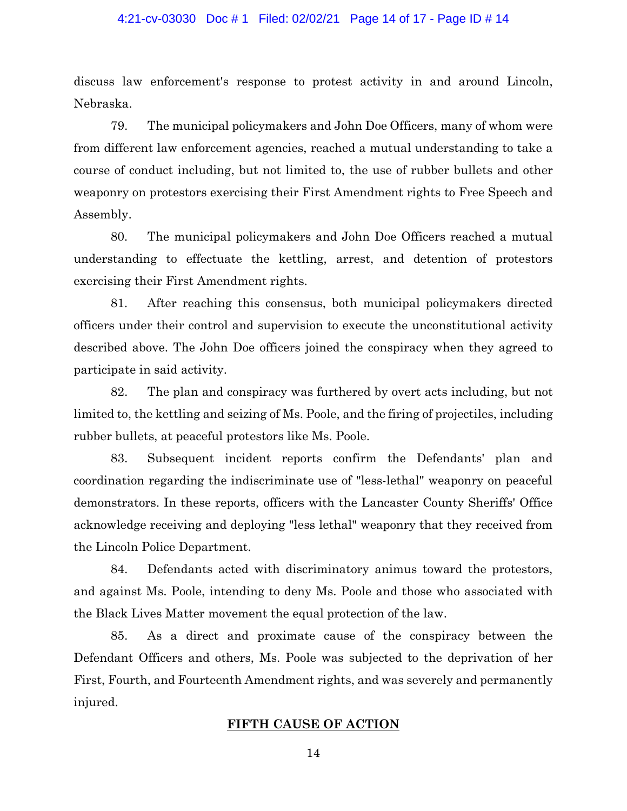#### 4:21-cv-03030 Doc # 1 Filed: 02/02/21 Page 14 of 17 - Page ID # 14

discuss law enforcement's response to protest activity in and around Lincoln, Nebraska.

79. The municipal policymakers and John Doe Officers, many of whom were from different law enforcement agencies, reached a mutual understanding to take a course of conduct including, but not limited to, the use of rubber bullets and other weaponry on protestors exercising their First Amendment rights to Free Speech and Assembly.

80. The municipal policymakers and John Doe Officers reached a mutual understanding to effectuate the kettling, arrest, and detention of protestors exercising their First Amendment rights.

81. After reaching this consensus, both municipal policymakers directed officers under their control and supervision to execute the unconstitutional activity described above. The John Doe officers joined the conspiracy when they agreed to participate in said activity.

82. The plan and conspiracy was furthered by overt acts including, but not limited to, the kettling and seizing of Ms. Poole, and the firing of projectiles, including rubber bullets, at peaceful protestors like Ms. Poole.

83. Subsequent incident reports confirm the Defendants' plan and coordination regarding the indiscriminate use of "less-lethal" weaponry on peaceful demonstrators. In these reports, officers with the Lancaster County Sheriffs' Office acknowledge receiving and deploying "less lethal" weaponry that they received from the Lincoln Police Department.

84. Defendants acted with discriminatory animus toward the protestors, and against Ms. Poole, intending to deny Ms. Poole and those who associated with the Black Lives Matter movement the equal protection of the law.

85. As a direct and proximate cause of the conspiracy between the Defendant Officers and others, Ms. Poole was subjected to the deprivation of her First, Fourth, and Fourteenth Amendment rights, and was severely and permanently injured.

## **FIFTH CAUSE OF ACTION**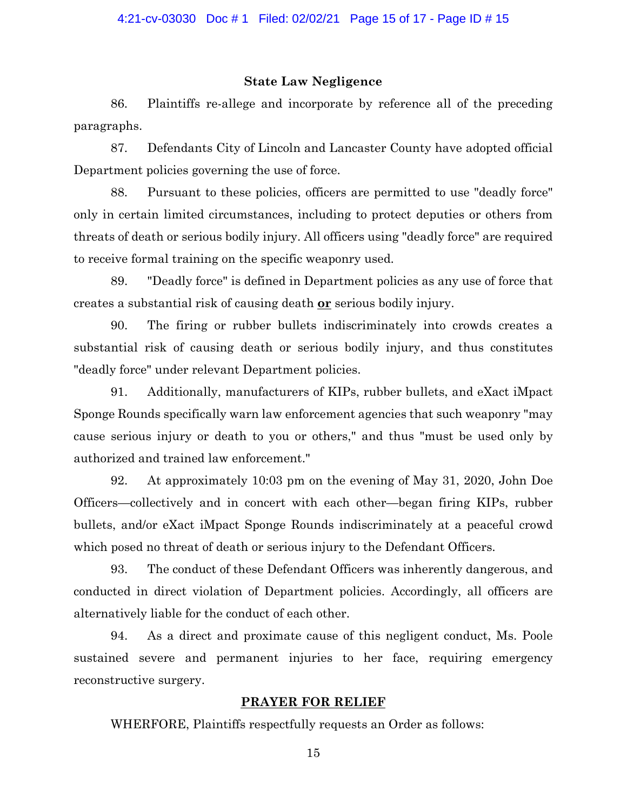### **State Law Negligence**

86. Plaintiffs re-allege and incorporate by reference all of the preceding paragraphs.

87. Defendants City of Lincoln and Lancaster County have adopted official Department policies governing the use of force.

88. Pursuant to these policies, officers are permitted to use "deadly force" only in certain limited circumstances, including to protect deputies or others from threats of death or serious bodily injury. All officers using "deadly force" are required to receive formal training on the specific weaponry used.

89. "Deadly force" is defined in Department policies as any use of force that creates a substantial risk of causing death **or** serious bodily injury.

90. The firing or rubber bullets indiscriminately into crowds creates a substantial risk of causing death or serious bodily injury, and thus constitutes "deadly force" under relevant Department policies.

91. Additionally, manufacturers of KIPs, rubber bullets, and eXact iMpact Sponge Rounds specifically warn law enforcement agencies that such weaponry "may cause serious injury or death to you or others," and thus "must be used only by authorized and trained law enforcement."

92. At approximately 10:03 pm on the evening of May 31, 2020, John Doe Officers—collectively and in concert with each other—began firing KIPs, rubber bullets, and/or eXact iMpact Sponge Rounds indiscriminately at a peaceful crowd which posed no threat of death or serious injury to the Defendant Officers.

93. The conduct of these Defendant Officers was inherently dangerous, and conducted in direct violation of Department policies. Accordingly, all officers are alternatively liable for the conduct of each other.

94. As a direct and proximate cause of this negligent conduct, Ms. Poole sustained severe and permanent injuries to her face, requiring emergency reconstructive surgery.

### **PRAYER FOR RELIEF**

WHERFORE, Plaintiffs respectfully requests an Order as follows: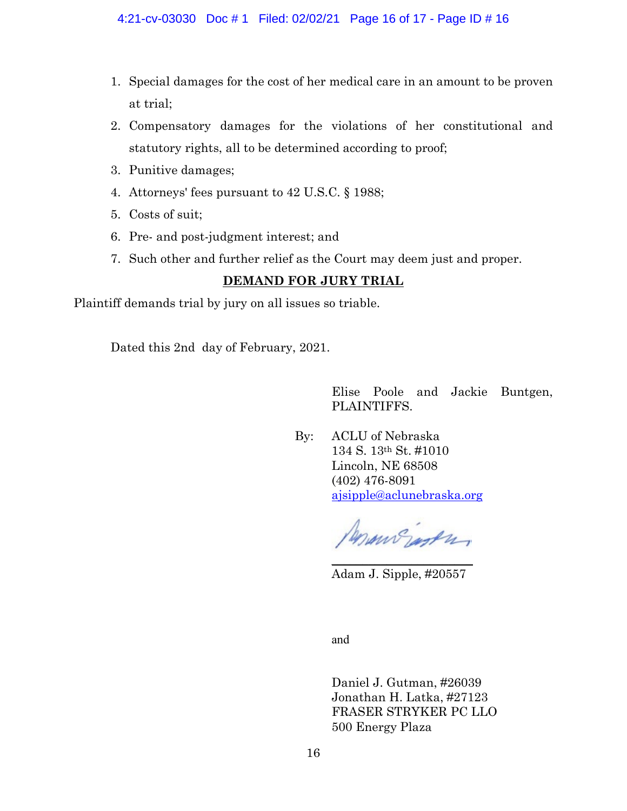### 4:21-cv-03030 Doc # 1 Filed: 02/02/21 Page 16 of 17 - Page ID # 16

- 1. Special damages for the cost of her medical care in an amount to be proven at trial;
- 2. Compensatory damages for the violations of her constitutional and statutory rights, all to be determined according to proof;
- 3. Punitive damages;
- 4. Attorneys' fees pursuant to 42 U.S.C. § 1988;
- 5. Costs of suit;
- 6. Pre- and post-judgment interest; and
- 7. Such other and further relief as the Court may deem just and proper.

# **DEMAND FOR JURY TRIAL**

Plaintiff demands trial by jury on all issues so triable.

Dated this 2nd day of February, 2021.

Elise Poole and Jackie Buntgen, PLAINTIFFS.

By: ACLU of Nebraska 134 S. 13th St. #1010 Lincoln, NE 68508 (402) 476-8091 [ajsipple@aclunebraska.org](mailto:ajsipple@aclunebraska.org)

Penning jagten  $\overline{\phantom{a}}$  , where  $\overline{\phantom{a}}$  , where  $\overline{\phantom{a}}$  , where  $\overline{\phantom{a}}$ 

Adam J. Sipple, #20557

and

Daniel J. Gutman, #26039 Jonathan H. Latka, #27123 FRASER STRYKER PC LLO 500 Energy Plaza